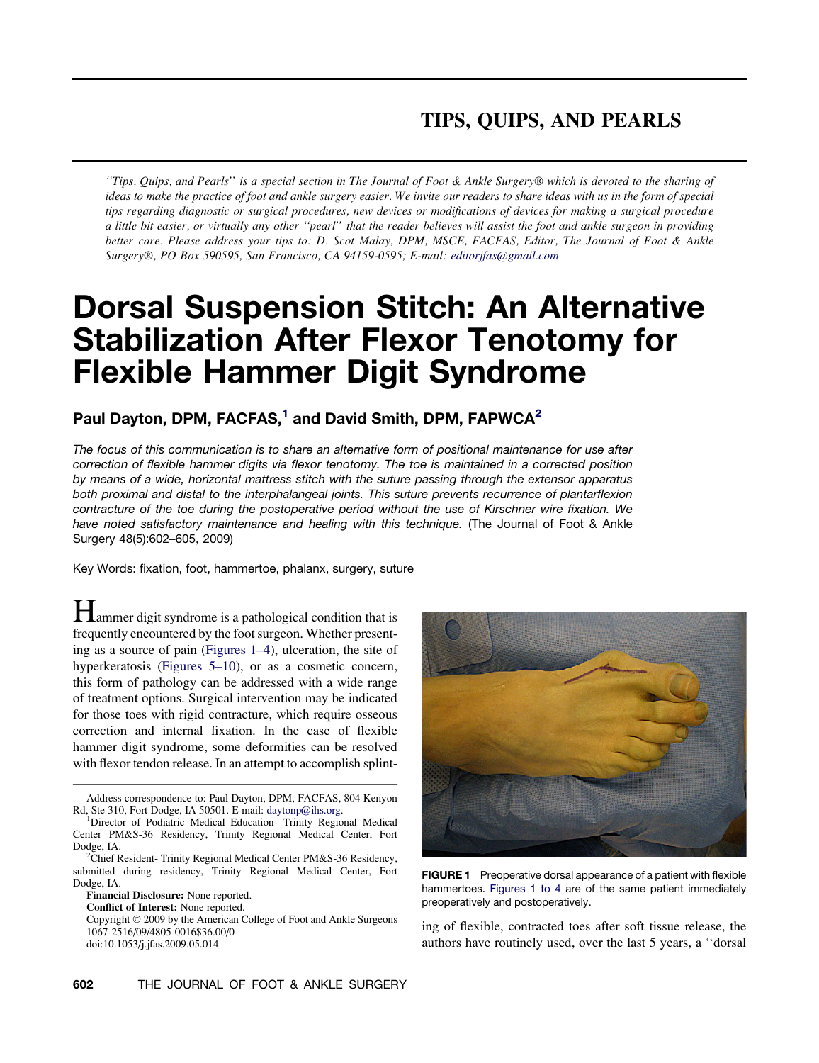## TIPS, QUIPS, AND PEARLS

"Tips, Quips, and Pearls" is a special section in The Journal of Foot & Ankle Surgery® which is devoted to the sharing of ideas to make the practice of foot and ankle surgery easier. We invite our readers to share ideas with us in the form of special tips regarding diagnostic or surgical procedures, new devices or modifications of devices for making a surgical procedure a little bit easier, or virtually any other ''pearl'' that the reader believes will assist the foot and ankle surgeon in providing better care. Please address your tips to: D. Scot Malay, DPM, MSCE, FACFAS, Editor, The Journal of Foot & Ankle Surgery-, PO Box 590595, San Francisco, CA 94159-0595; E-mail: [editorjfas@gmail.com](mailto:editorjfas@gmail.com)

# Dorsal Suspension Stitch: An Alternative Stabilization After Flexor Tenotomy for Flexible Hammer Digit Syndrome

## Paul Dayton, DPM, FACFAS,<sup>1</sup> and David Smith, DPM, FAPWCA<sup>2</sup>

*The focus of this communication is to share an alternative form of positional maintenance for use after correction of flexible hammer digits via flexor tenotomy. The toe is maintained in a corrected position by means of a wide, horizontal mattress stitch with the suture passing through the extensor apparatus both proximal and distal to the interphalangeal joints. This suture prevents recurrence of plantarflexion contracture of the toe during the postoperative period without the use of Kirschner wire fixation. We have noted satisfactory maintenance and healing with this technique.* (The Journal of Foot & Ankle Surgery 48(5):602–605, 2009)

Key Words: fixation, foot, hammertoe, phalanx, surgery, suture

**H**ammer digit syndrome is a pathological condition that is frequently encountered by the foot surgeon. Whether presenting as a source of pain (Figures 1–4), ulceration, the site of hyperkeratosis [\(Figures 5–10\)](#page-1-0), or as a cosmetic concern, this form of pathology can be addressed with a wide range of treatment options. Surgical intervention may be indicated for those toes with rigid contracture, which require osseous correction and internal fixation. In the case of flexible hammer digit syndrome, some deformities can be resolved with flexor tendon release. In an attempt to accomplish splint-

Financial Disclosure: None reported.

Conflict of Interest: None reported.

Copyright © 2009 by the American College of Foot and Ankle Surgeons 1067-2516/09/4805-0016\$36.00/0 doi:10.1053/j.jfas.2009.05.014



FIGURE 1 Preoperative dorsal appearance of a patient with flexible hammertoes. Figures 1 to 4 are of the same patient immediately preoperatively and postoperatively.

ing of flexible, contracted toes after soft tissue release, the authors have routinely used, over the last 5 years, a ''dorsal

Address correspondence to: Paul Dayton, DPM, FACFAS, 804 Kenyon Rd, Ste 310, Fort Dodge, IA 50501. E-mail: [daytonp@ihs.org](mailto:daytonp@ihs.org). <sup>1</sup>

<sup>&</sup>lt;sup>1</sup>Director of Podiatric Medical Education- Trinity Regional Medical Center PM&S-36 Residency, Trinity Regional Medical Center, Fort Dodge, IA. <sup>2</sup>

<sup>&</sup>lt;sup>2</sup>Chief Resident- Trinity Regional Medical Center PM&S-36 Residency, submitted during residency, Trinity Regional Medical Center, Fort Dodge, IA.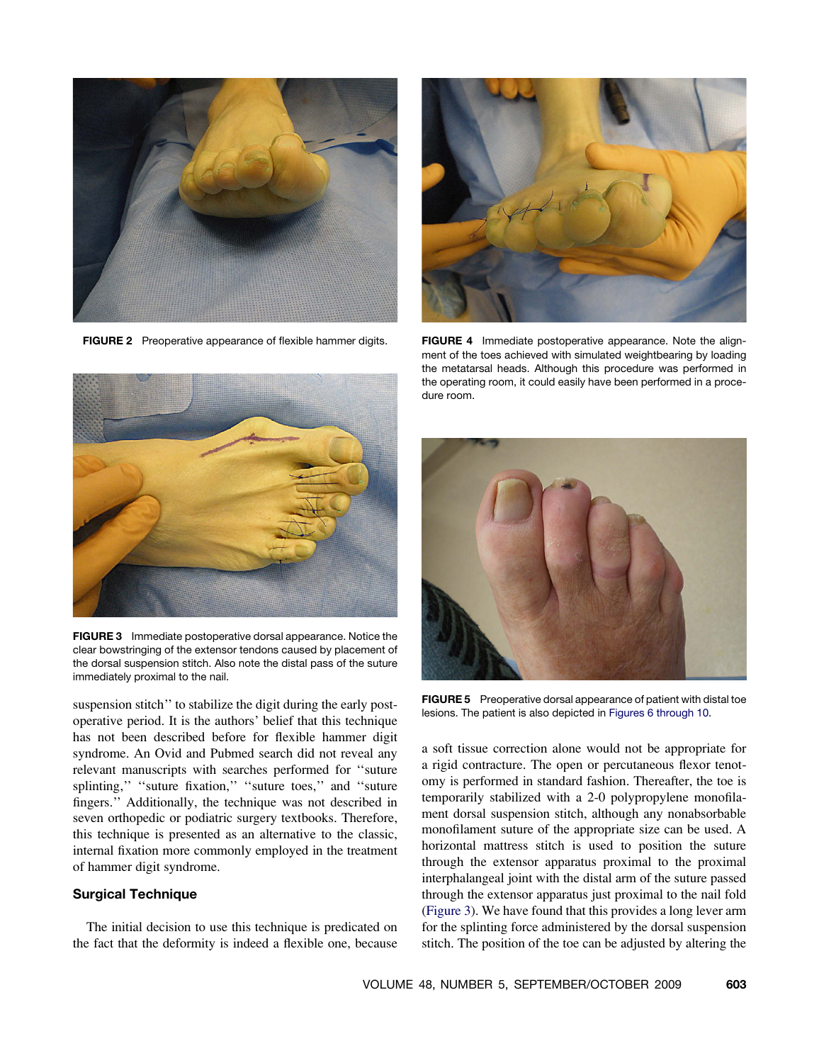<span id="page-1-0"></span>

FIGURE 2 Preoperative appearance of flexible hammer digits.



FIGURE 3 Immediate postoperative dorsal appearance. Notice the clear bowstringing of the extensor tendons caused by placement of the dorsal suspension stitch. Also note the distal pass of the suture immediately proximal to the nail.

suspension stitch'' to stabilize the digit during the early postoperative period. It is the authors' belief that this technique has not been described before for flexible hammer digit syndrome. An Ovid and Pubmed search did not reveal any relevant manuscripts with searches performed for ''suture splinting," "suture fixation," "suture toes," and "suture fingers.'' Additionally, the technique was not described in seven orthopedic or podiatric surgery textbooks. Therefore, this technique is presented as an alternative to the classic, internal fixation more commonly employed in the treatment of hammer digit syndrome.

#### Surgical Technique

The initial decision to use this technique is predicated on the fact that the deformity is indeed a flexible one, because



FIGURE 4 Immediate postoperative appearance. Note the alignment of the toes achieved with simulated weightbearing by loading the metatarsal heads. Although this procedure was performed in the operating room, it could easily have been performed in a procedure room.



FIGURE 5 Preoperative dorsal appearance of patient with distal toe lesions. The patient is also depicted in [Figures 6 through 10](#page-2-0).

a soft tissue correction alone would not be appropriate for a rigid contracture. The open or percutaneous flexor tenotomy is performed in standard fashion. Thereafter, the toe is temporarily stabilized with a 2-0 polypropylene monofilament dorsal suspension stitch, although any nonabsorbable monofilament suture of the appropriate size can be used. A horizontal mattress stitch is used to position the suture through the extensor apparatus proximal to the proximal interphalangeal joint with the distal arm of the suture passed through the extensor apparatus just proximal to the nail fold (Figure 3). We have found that this provides a long lever arm for the splinting force administered by the dorsal suspension stitch. The position of the toe can be adjusted by altering the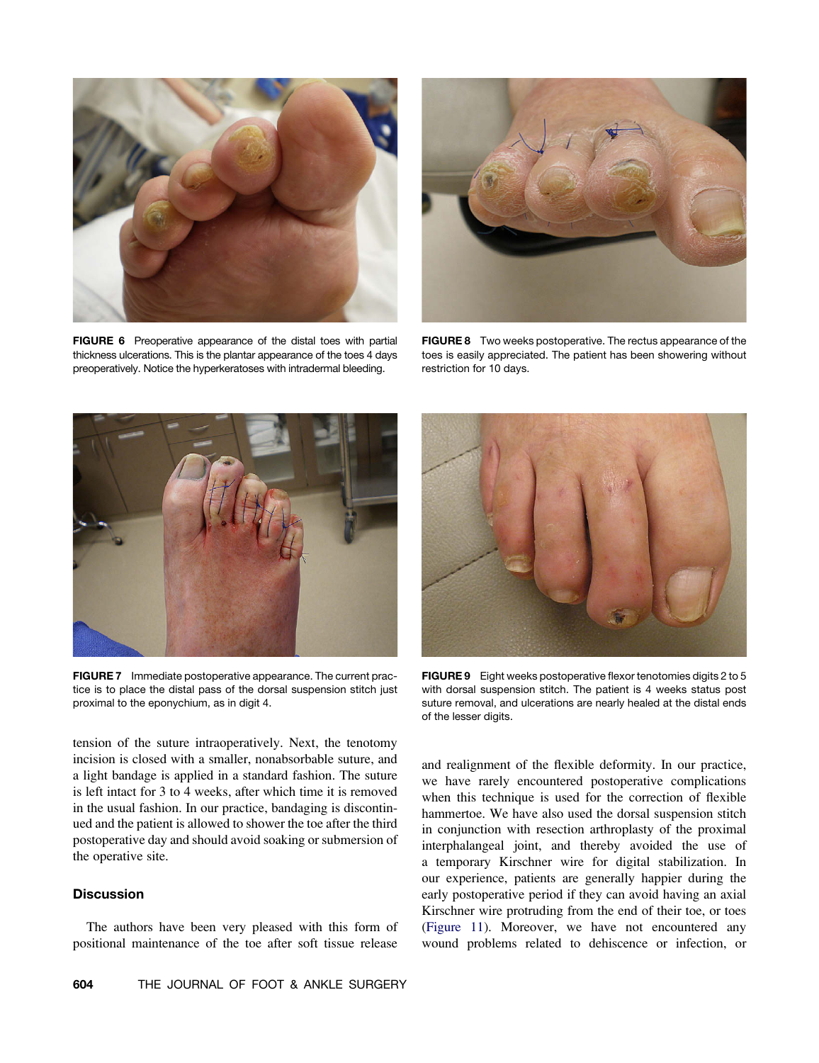<span id="page-2-0"></span>

FIGURE 6 Preoperative appearance of the distal toes with partial thickness ulcerations. This is the plantar appearance of the toes 4 days preoperatively. Notice the hyperkeratoses with intradermal bleeding.



FIGURE 8 Two weeks postoperative. The rectus appearance of the toes is easily appreciated. The patient has been showering without restriction for 10 days.



FIGURE 7 Immediate postoperative appearance. The current practice is to place the distal pass of the dorsal suspension stitch just proximal to the eponychium, as in digit 4.

tension of the suture intraoperatively. Next, the tenotomy incision is closed with a smaller, nonabsorbable suture, and a light bandage is applied in a standard fashion. The suture is left intact for 3 to 4 weeks, after which time it is removed in the usual fashion. In our practice, bandaging is discontinued and the patient is allowed to shower the toe after the third postoperative day and should avoid soaking or submersion of the operative site.

### **Discussion**

The authors have been very pleased with this form of positional maintenance of the toe after soft tissue release



FIGURE 9 Eight weeks postoperative flexor tenotomies digits 2 to 5 with dorsal suspension stitch. The patient is 4 weeks status post suture removal, and ulcerations are nearly healed at the distal ends of the lesser digits.

and realignment of the flexible deformity. In our practice, we have rarely encountered postoperative complications when this technique is used for the correction of flexible hammertoe. We have also used the dorsal suspension stitch in conjunction with resection arthroplasty of the proximal interphalangeal joint, and thereby avoided the use of a temporary Kirschner wire for digital stabilization. In our experience, patients are generally happier during the early postoperative period if they can avoid having an axial Kirschner wire protruding from the end of their toe, or toes ([Figure 11\)](#page-3-0). Moreover, we have not encountered any wound problems related to dehiscence or infection, or